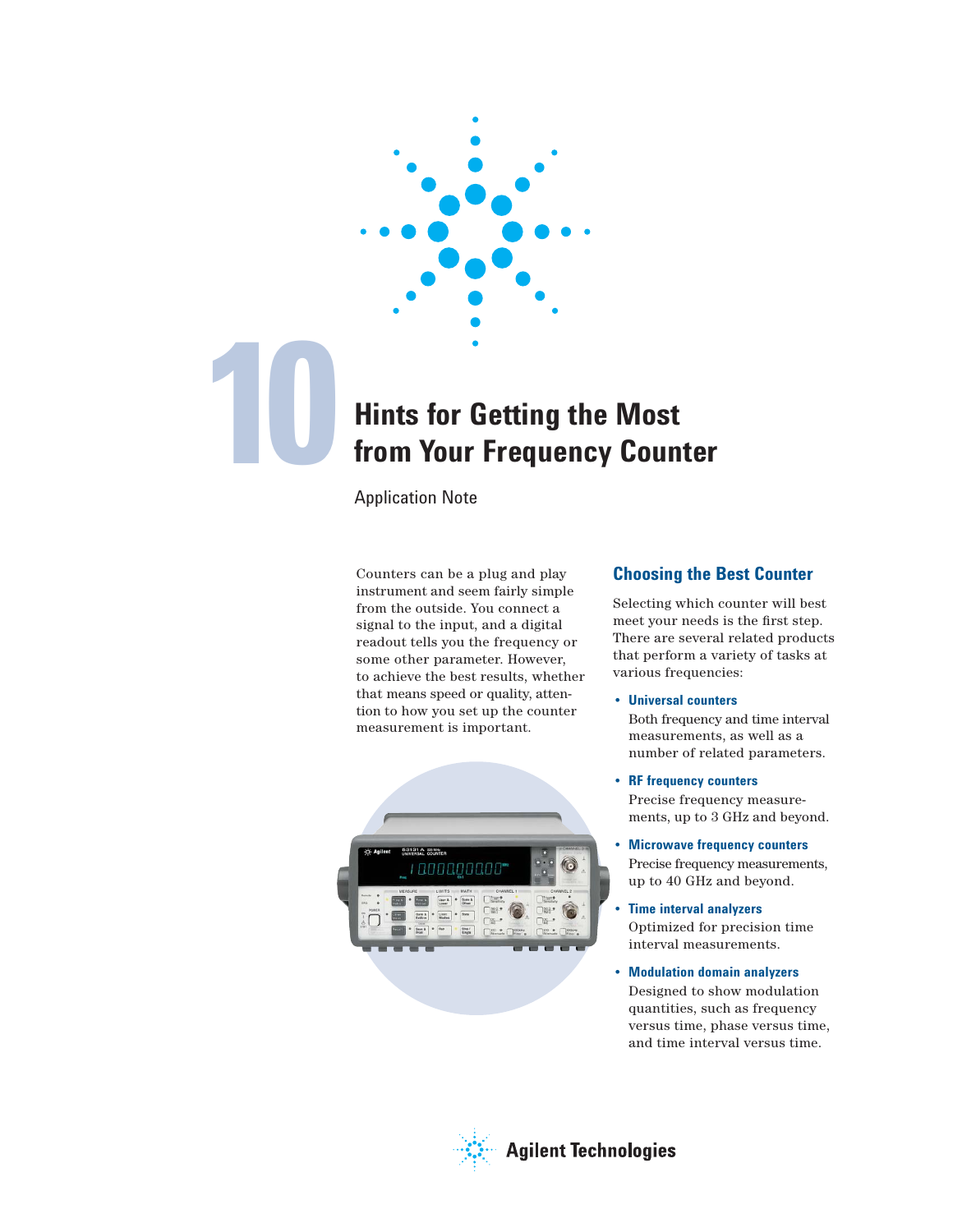

## **Hints for Getting the Most from Your Frequency Counter**

Application Note

Counters can be a plug and play instrument and seem fairly simple from the outside. You connect a signal to the input, and a digital readout tells you the frequency or some other parameter. However, to achieve the best results, whether that means speed or quality, attention to how you set up the counter measurement is important.



## **Choosing the Best Counter**

Selecting which counter will best meet your needs is the first step. There are several related products that perform a variety of tasks at various frequencies:

## • **Universal counters**

 Both frequency and time interval measurements, as well as a number of related parameters.

- **RF frequency counters** Precise frequency measure ments, up to 3 GHz and beyond.
- **Microwave frequency counters** Precise frequency measurements, up to 40 GHz and beyond.
- **Time interval analyzers**  Optimized for precision time interval measurements.
- **Modulation domain analyzers** Designed to show modulation quantities, such as frequency versus time, phase versus time, and time interval versus time.

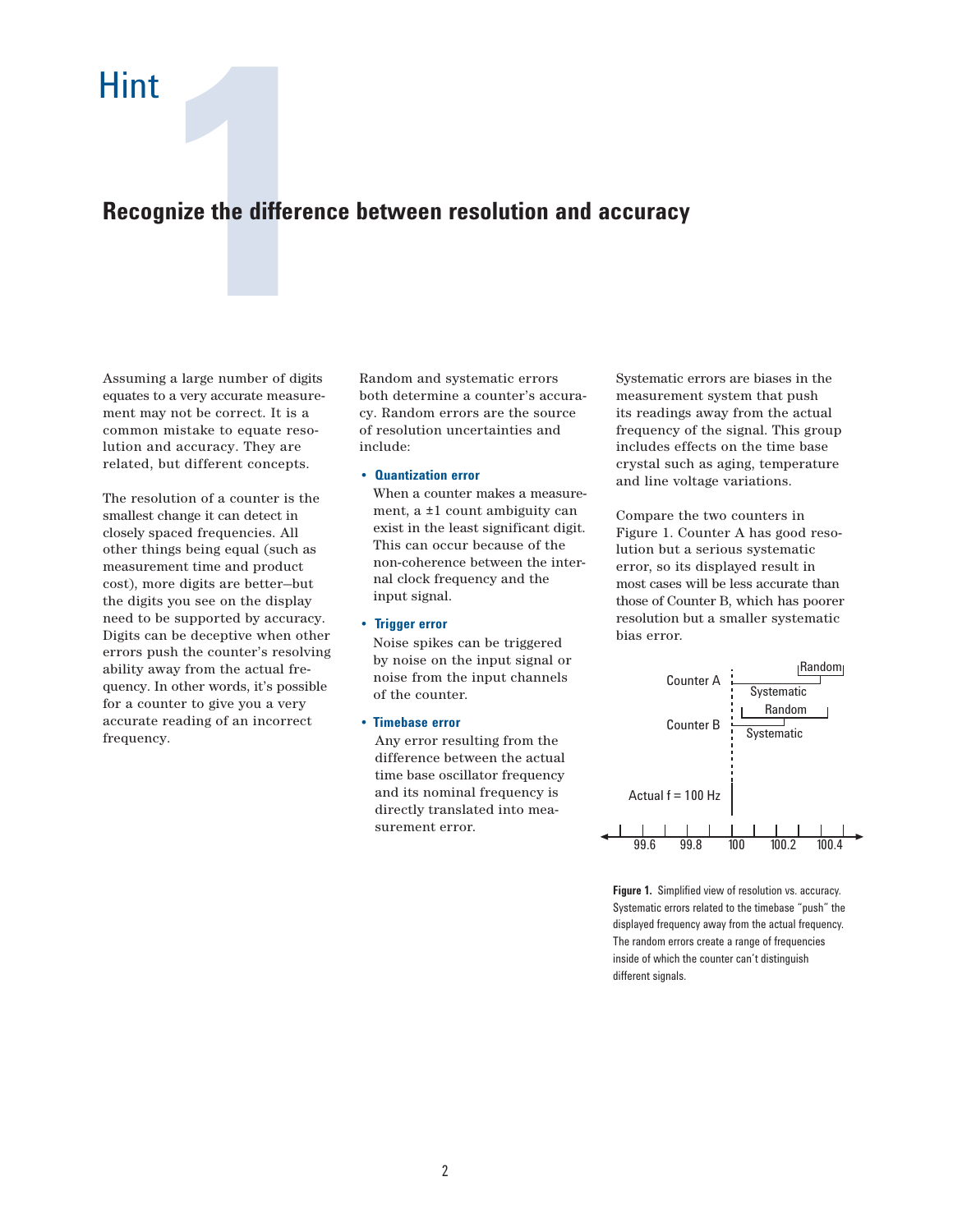# **128**<br>**128**<br>**12876 Pumber of digits Recognize the difference between resolution and accuracy**

Assuming a large number of digits equates to a very accurate measurement may not be correct. It is a common mistake to equate resolution and accuracy. They are related, but different concepts.

The resolution of a counter is the smallest change it can detect in closely spaced frequencies. All other things being equal (such as measurement time and product cost), more digits are better—but the digits you see on the display need to be supported by accuracy. Digits can be deceptive when other errors push the counter's resolving ability away from the actual frequency. In other words, it's possible for a counter to give you a very accurate reading of an incorrect frequency.

Random and systematic errors both determine a counter's accuracy. Random errors are the source of resolution uncertainties and include:

## • **Quantization error**

 When a counter makes a measure ment, a ±1 count ambiguity can exist in the least significant digit. This can occur because of the non-coherence between the inter nal clock frequency and the input signal.

## • **Trigger error**

 Noise spikes can be triggered by noise on the input signal or noise from the input channels of the counter.

• **Timebase error** 

 Any error resulting from the difference between the actual time base oscillator frequency and its nominal frequency is directly translated into mea surement error.

Systematic errors are biases in the measurement system that push its readings away from the actual frequency of the signal. This group includes effects on the time base crystal such as aging, temperature and line voltage variations.

Compare the two counters in Figure 1. Counter A has good resolution but a serious systematic error, so its displayed result in most cases will be less accurate than those of Counter B, which has poorer resolution but a smaller systematic bias error.



**Figure 1.** Simplified view of resolution vs. accuracy. Systematic errors related to the timebase "push" the displayed frequency away from the actual frequency. The random errors create a range of frequencies inside of which the counter can't distinguish different signals.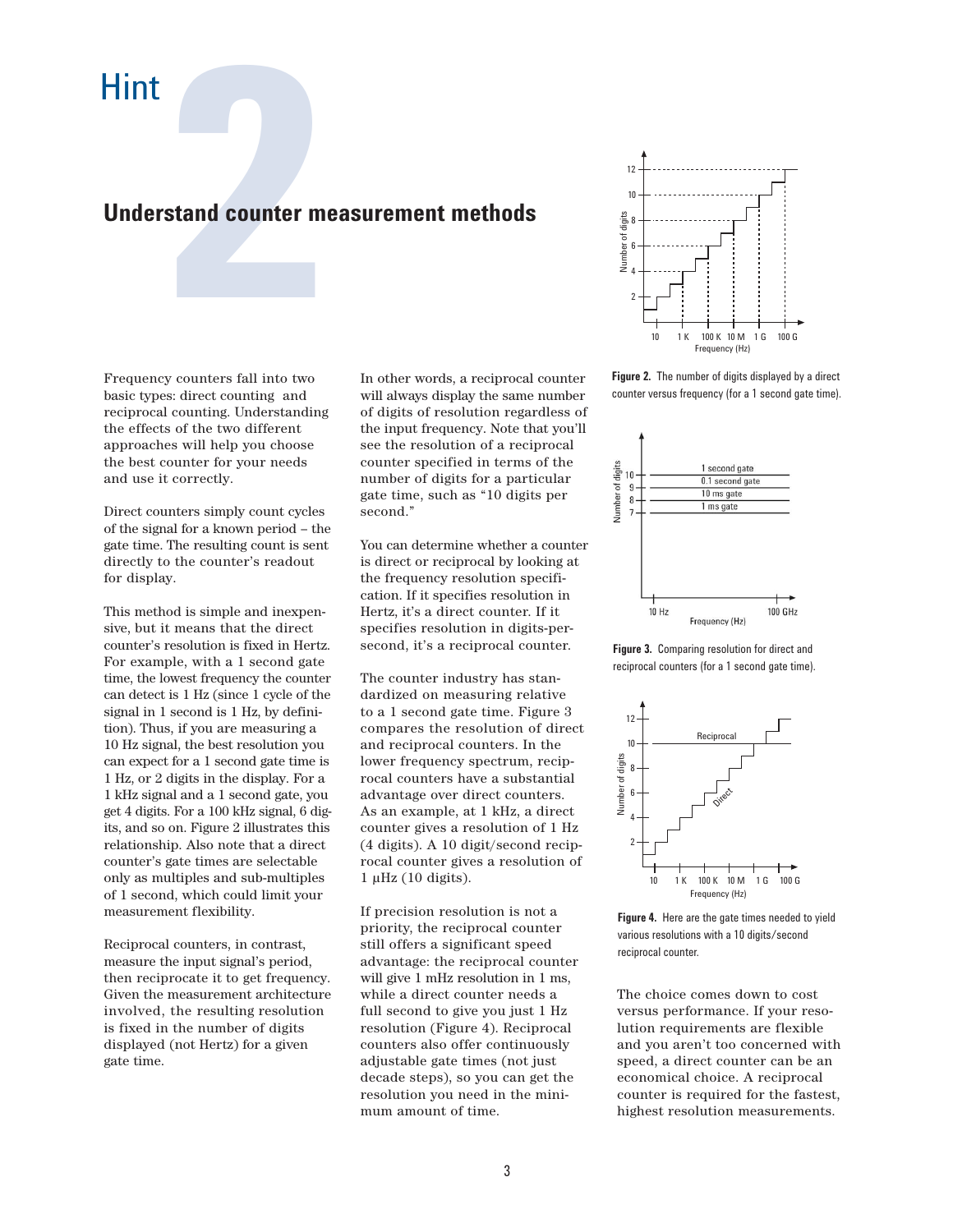# **22 August 2013 12:45 August 2014 12:45 August 2014 12:45 August 2014 12:45 August 2014 12:45 August 2014 12:45 August 2014 12:45 August 2014 12:45 August 2014 12:45 August 2014 12:45 August 2014 12:45 August 2014 12:45 Au Understand counter measurement methods**

Frequency counters fall into two basic types: direct counting and reciprocal counting. Understanding the effects of the two different approaches will help you choose the best counter for your needs and use it correctly.

Direct counters simply count cycles of the signal for a known period – the gate time. The resulting count is sent directly to the counter's readout for display.

This method is simple and inexpensive, but it means that the direct counter's resolution is fixed in Hertz. For example, with a 1 second gate time, the lowest frequency the counter can detect is 1 Hz (since 1 cycle of the signal in 1 second is 1 Hz, by definition). Thus, if you are measuring a 10 Hz signal, the best resolution you can expect for a 1 second gate time is 1 Hz, or 2 digits in the display. For a 1 kHz signal and a 1 second gate, you get 4 digits. For a 100 kHz signal, 6 digits, and so on. Figure 2 illustrates this relationship. Also note that a direct counter's gate times are selectable only as multiples and sub-multiples of 1 second, which could limit your measurement flexibility.

Reciprocal counters, in contrast, measure the input signal's period, then reciprocate it to get frequency. Given the measurement architecture involved, the resulting resolution is fixed in the number of digits displayed (not Hertz) for a given gate time.

In other words, a reciprocal counter will always display the same number of digits of resolution regardless of the input frequency. Note that you'll see the resolution of a reciprocal counter specified in terms of the number of digits for a particular gate time, such as "10 digits per second."

You can determine whether a counter is direct or reciprocal by looking at the frequency resolution specification. If it specifies resolution in Hertz, it's a direct counter. If it specifies resolution in digits-persecond, it's a reciprocal counter.

The counter industry has standardized on measuring relative to a 1 second gate time. Figure 3 compares the resolution of direct and reciprocal counters. In the lower frequency spectrum, reciprocal counters have a substantial advantage over direct counters. As an example, at 1 kHz, a direct counter gives a resolution of 1 Hz (4 digits). A 10 digit/second reciprocal counter gives a resolution of  $1 \mu$ Hz (10 digits).

If precision resolution is not a priority, the reciprocal counter still offers a significant speed advantage: the reciprocal counter will give 1 mHz resolution in 1 ms, while a direct counter needs a full second to give you just 1 Hz resolution (Figure 4). Reciprocal counters also offer continuously adjustable gate times (not just decade steps), so you can get the resolution you need in the minimum amount of time.



**Figure 2.** The number of digits displayed by a direct counter versus frequency (for a 1 second gate time).



**Figure 3.** Comparing resolution for direct and reciprocal counters (for a 1 second gate time).



**Figure 4.** Here are the gate times needed to yield various resolutions with a 10 digits/second reciprocal counter.

The choice comes down to cost versus performance. If your resolution requirements are flexible and you aren't too concerned with speed, a direct counter can be an economical choice. A reciprocal counter is required for the fastest, highest resolution measurements.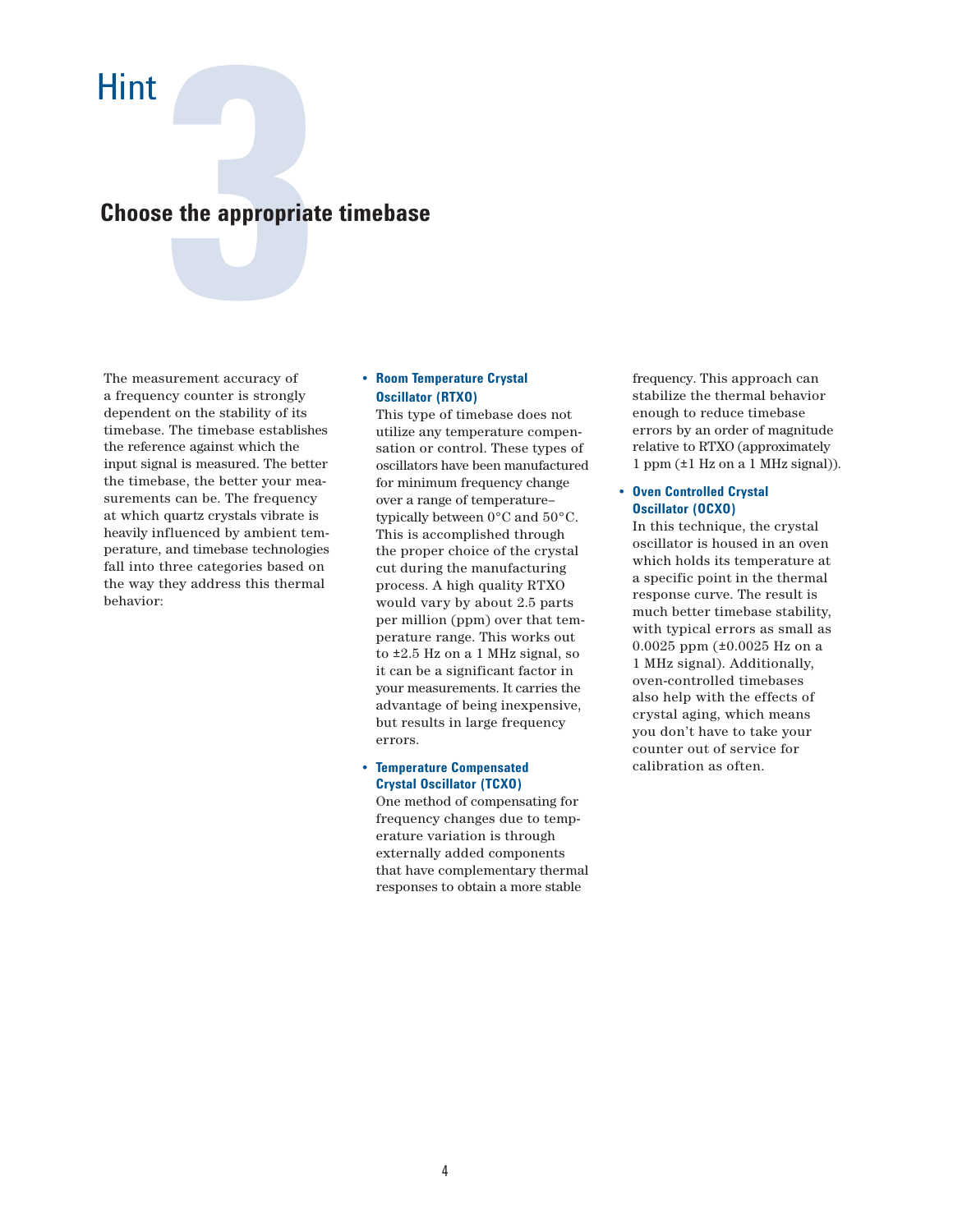# **1344 Expression Contract Secure Contract ACCURE SUPERED SUPERED SUPERED SUPERED SUPERED SUPERED SUPERED SUPERED SUPERED SUPERED SUPERED SUPERED SUPERED SUPERED SUPERED SUPERED SUPERED SUPERED SUPERED SUPERED SUPERED SUPER Choose the appropriate timebase**

The measurement accuracy of a frequency counter is strongly dependent on the stability of its timebase. The timebase establishes the reference against which the input signal is measured. The better the timebase, the better your measurements can be. The frequency at which quartz crystals vibrate is heavily influenced by ambient temperature, and timebase technologies fall into three categories based on the way they address this thermal behavior:

## • **Room Temperature Crystal Oscillator (RTXO)**

This type of timebase does not utilize any temperature compen sation or control. These types of oscillators have been manufactured for minimum frequency change over a range of temperature– typically between 0°C and 50°C. This is accomplished through the proper choice of the crystal cut during the manufacturing process. A high quality RTXO would vary by about 2.5 parts per million (ppm) over that tem perature range. This works out to ±2.5 Hz on a 1 MHz signal, so it can be a significant factor in your measurements. It carries the advantage of being inexpensive, but results in large frequency errors.

## • **Temperature Compensated Crystal Oscillator (TCXO)**

One method of compensating for frequency changes due to temp erature variation is through externally added components that have complementary thermal responses to obtain a more stable

 frequency. This approach can stabilize the thermal behavior enough to reduce timebase errors by an order of magnitude relative to RTXO (approximately 1 ppm (±1 Hz on a 1 MHz signal)).

## • **Oven Controlled Crystal Oscillator (OCXO)**

In this technique, the crystal oscillator is housed in an oven which holds its temperature at a specific point in the thermal response curve. The result is much better timebase stability, with typical errors as small as 0.0025 ppm (±0.0025 Hz on a 1 MHz signal). Additionally, oven-controlled timebases also help with the effects of crystal aging, which means you don't have to take your counter out of service for calibration as often.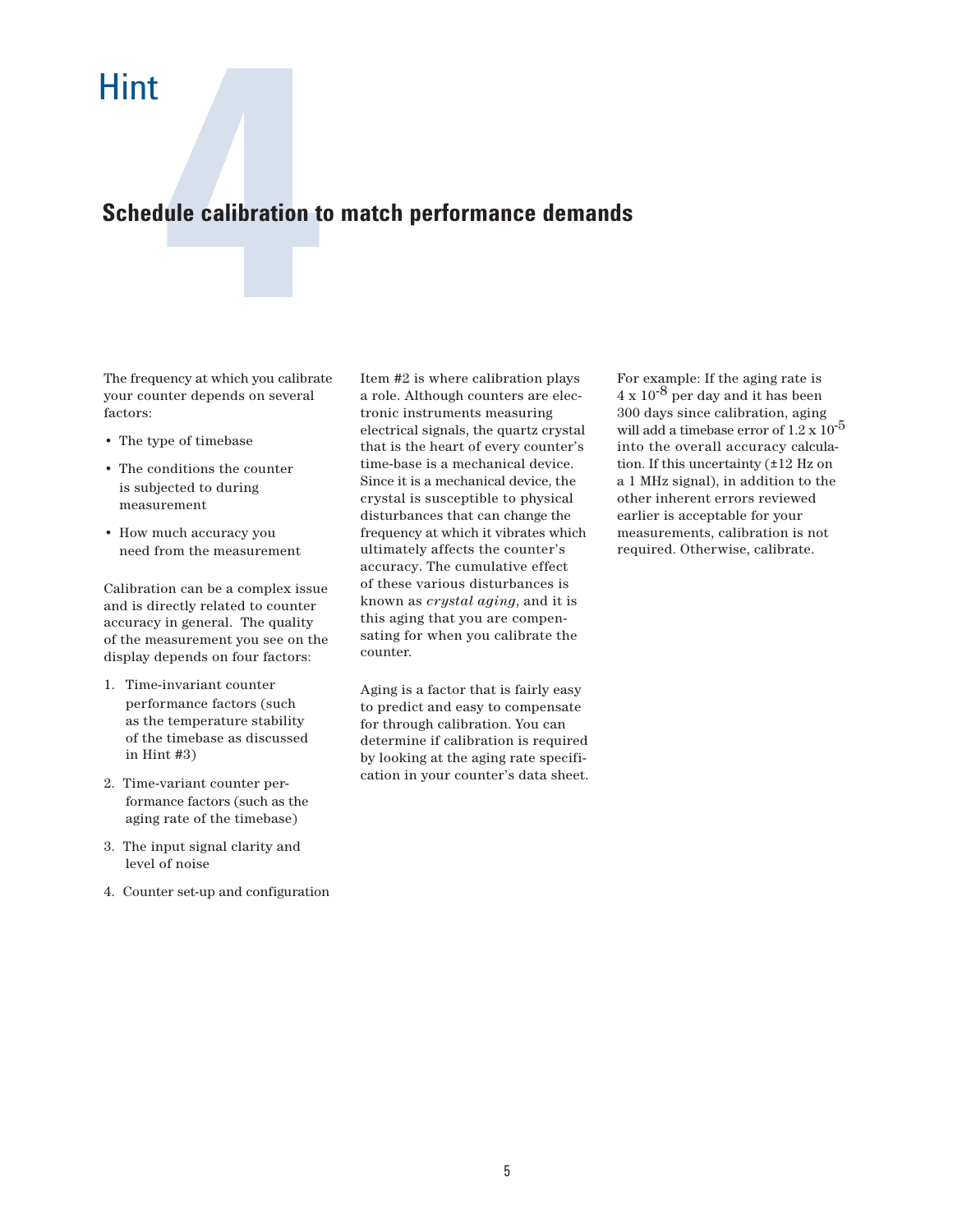# **4 Schedule calibration to match performance demands**

The frequency at which you calibrate your counter depends on several factors:

- The type of timebase
- The conditions the counter is subjected to during measurement
- How much accuracy you need from the measurement

Calibration can be a complex issue and is directly related to counter accuracy in general. The quality of the measurement you see on the display depends on four factors:

- 1. Time-invariant counter performance factors (such as the temperature stability of the timebase as discussed in Hint #3)
- 2. Time-variant counter per formance factors (such as the aging rate of the timebase)
- 3. The input signal clarity and level of noise
- 4. Counter set-up and configuration

Item #2 is where calibration plays a role. Although counters are electronic instruments measuring electrical signals, the quartz crystal that is the heart of every counter's time-base is a mechanical device. Since it is a mechanical device, the crystal is susceptible to physical disturbances that can change the frequency at which it vibrates which ultimately affects the counter's accuracy. The cumulative effect of these various disturbances is known as *crystal aging*, and it is this aging that you are compensating for when you calibrate the counter.

Aging is a factor that is fairly easy to predict and easy to compensate for through calibration. You can determine if calibration is required by looking at the aging rate specification in your counter's data sheet.

For example: If the aging rate is  $4 \times 10^{-8}$  per day and it has been 300 days since calibration, aging will add a timebase error of  $1.2 \times 10^{-5}$ into the overall accuracy calculation. If this uncertainty (±12 Hz on a 1 MHz signal), in addition to the other inherent errors reviewed earlier is acceptable for your measurements, calibration is not required. Otherwise, calibrate.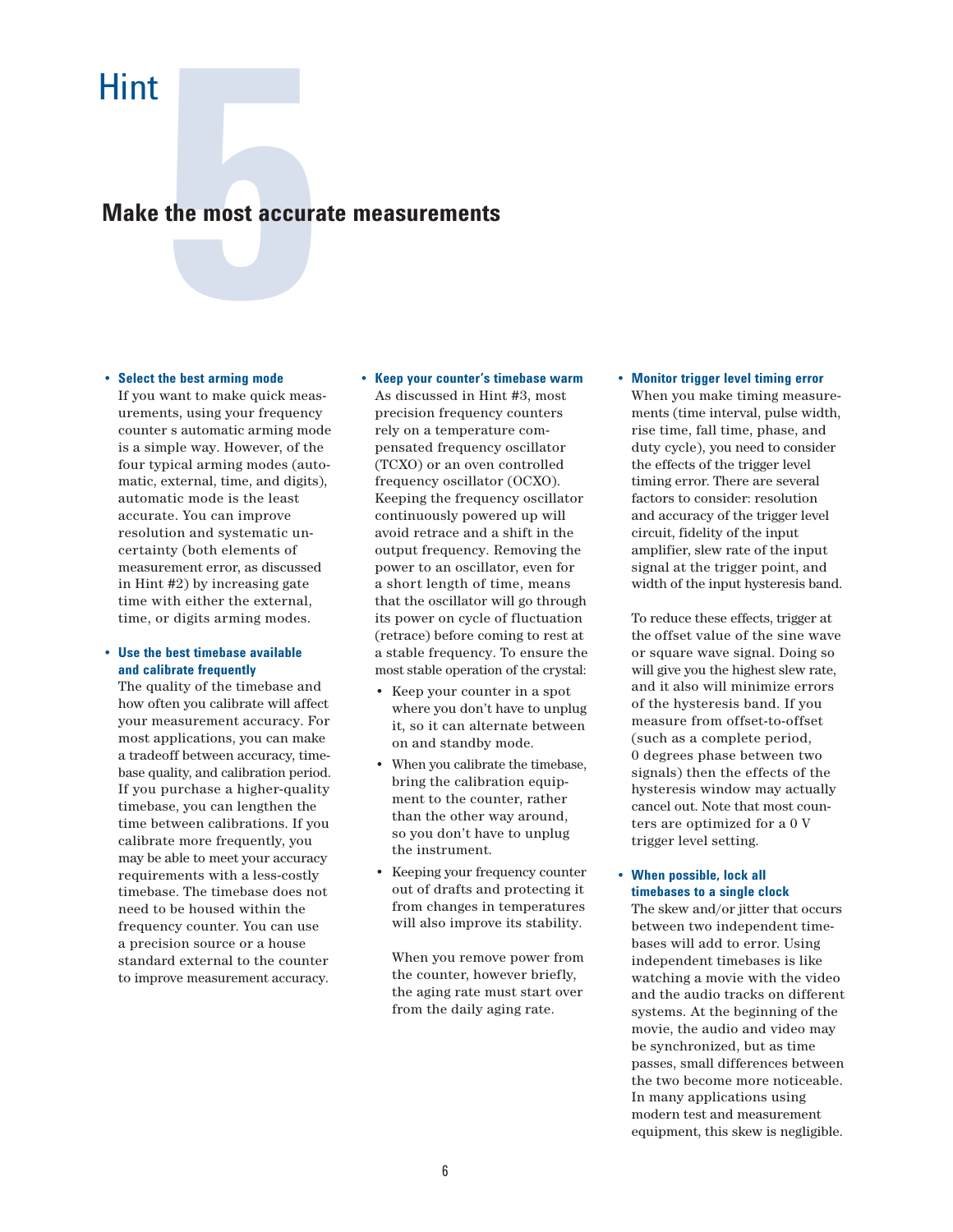# the most accura<br> **SP 1996**<br> **SPREM AND TO THE SPACE AT TIME MODE AND Make the most accurate measurements**

## • **Select the best arming mode**

If you want to make quick meas urements, using your frequency counter s automatic arming mode is a simple way. However, of the four typical arming modes (auto matic, external, time, and digits), automatic mode is the least accurate. You can improve resolution and systematic un certainty (both elements of measurement error, as discussed in Hint #2) by increasing gate time with either the external, time, or digits arming modes.

## • **Use the best timebase available and calibrate frequently**

 The quality of the timebase and how often you calibrate will affect your measurement accuracy. For most applications, you can make a tradeoff between accuracy, timebase quality, and calibration period. If you purchase a higher-quality timebase, you can lengthen the time between calibrations. If you calibrate more frequently, you may be able to meet your accuracy requirements with a less-costly timebase. The timebase does not need to be housed within the frequency counter. You can use a precision source or a house standard external to the counter to improve measurement accuracy.

## • **Keep your counter's timebase warm** As discussed in Hint #3, most precision frequency counters rely on a temperature com pensated frequency oscillator (TCXO) or an oven controlled frequency oscillator (OCXO). Keeping the frequency oscillator continuously powered up will avoid retrace and a shift in the output frequency. Removing the power to an oscillator, even for a short length of time, means that the oscillator will go through its power on cycle of fluctuation (retrace) before coming to rest at a stable frequency. To ensure the most stable operation of the crystal:

- Keep your counter in a spot where you don't have to unplug it, so it can alternate between on and standby mode.
- When you calibrate the timebase, bring the calibration equip ment to the counter, rather than the other way around, so you don't have to unplug the instrument.
- Keeping your frequency counter out of drafts and protecting it from changes in temperatures will also improve its stability.

 When you remove power from the counter, however briefly, the aging rate must start over from the daily aging rate.

## • **Monitor trigger level timing error** When you make timing measure ments (time interval, pulse width, rise time, fall time, phase, and duty cycle), you need to consider the effects of the trigger level timing error. There are several factors to consider: resolution and accuracy of the trigger level circuit, fidelity of the input amplifier, slew rate of the input signal at the trigger point, and width of the input hysteresis band.

 To reduce these effects, trigger at the offset value of the sine wave or square wave signal. Doing so will give you the highest slew rate, and it also will minimize errors of the hysteresis band. If you measure from offset-to-offset (such as a complete period, 0 degrees phase between two signals) then the effects of the hysteresis window may actually cancel out. Note that most coun ters are optimized for a 0 V trigger level setting.

## • **When possible, lock all timebases to a single clock**

 The skew and/or jitter that occurs between two independent time bases will add to error. Using independent timebases is like watching a movie with the video and the audio tracks on different systems. At the beginning of the movie, the audio and video may be synchronized, but as time passes, small differences between the two become more noticeable. In many applications using modern test and measurement equipment, this skew is negligible.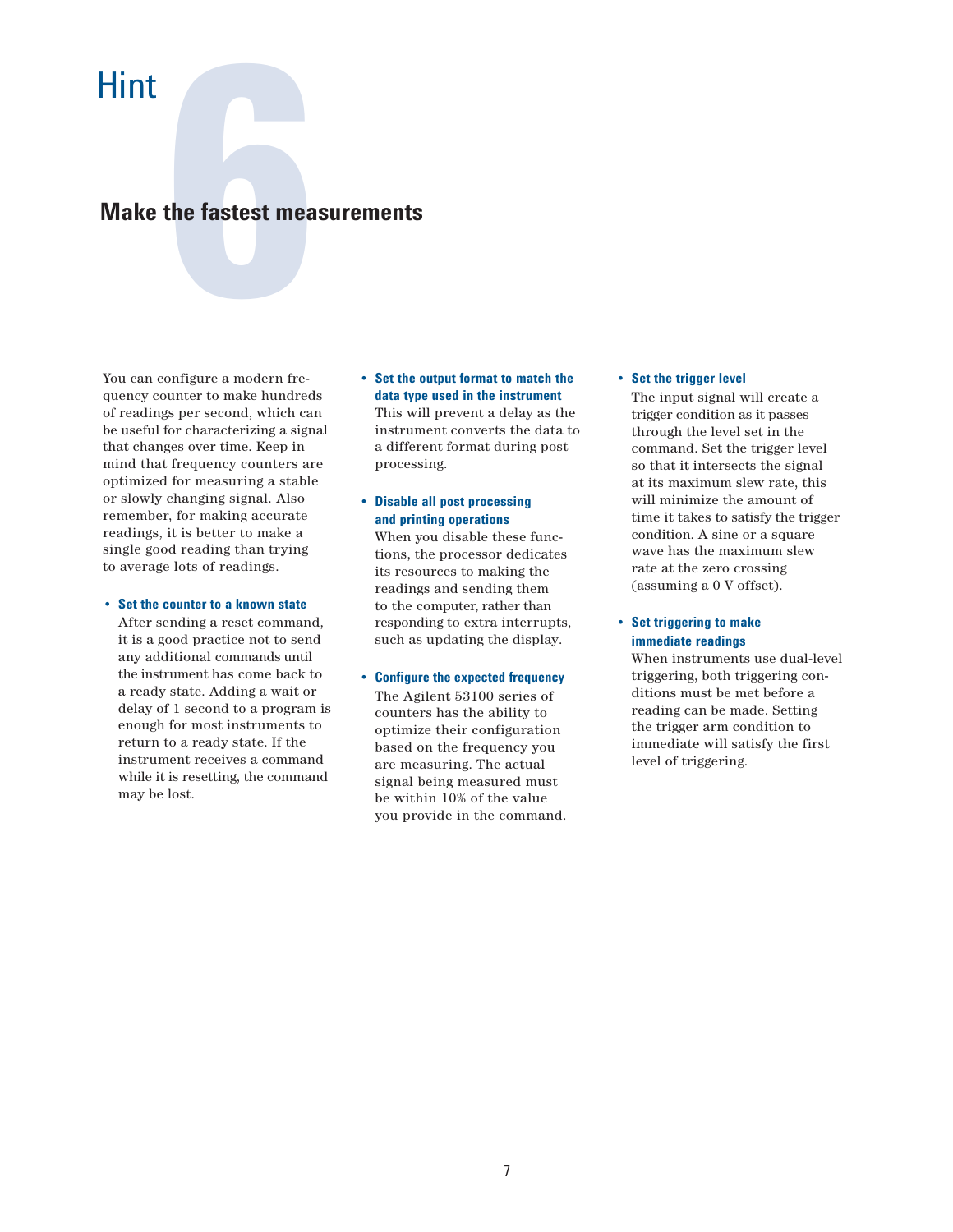# **the fastest measurement Make the fastest measurements**

You can configure a modern frequency counter to make hundreds of readings per second, which can be useful for characterizing a signal that changes over time. Keep in mind that frequency counters are optimized for measuring a stable or slowly changing signal. Also remember, for making accurate readings, it is better to make a single good reading than trying to average lots of readings.

### • **Set the counter to a known state**

 After sending a reset command, it is a good practice not to send any additional commands until the instrument has come back to a ready state. Adding a wait or delay of 1 second to a program is enough for most instruments to return to a ready state. If the instrument receives a command while it is resetting, the command may be lost.

- **Set the output format to match the data type used in the instrument** This will prevent a delay as the instrument converts the data to a different format during post processing.
- **Disable all post processing and printing operations**

 When you disable these func tions, the processor dedicates its resources to making the readings and sending them to the computer, rather than responding to extra interrupts, such as updating the display.

## • **Configure the expected frequency**

The Agilent 53100 series of counters has the ability to optimize their configuration based on the frequency you are measuring. The actual signal being measured must be within 10% of the value you provide in the command.

### • **Set the trigger level**

 The input signal will create a trigger condition as it passes through the level set in the command. Set the trigger level so that it intersects the signal at its maximum slew rate, this will minimize the amount of time it takes to satisfy the trigger condition. A sine or a square wave has the maximum slew rate at the zero crossing (assuming a 0 V offset).

## • **Set triggering to make immediate readings**

 When instruments use dual-level triggering, both triggering con ditions must be met before a reading can be made. Setting the trigger arm condition to immediate will satisfy the first level of triggering.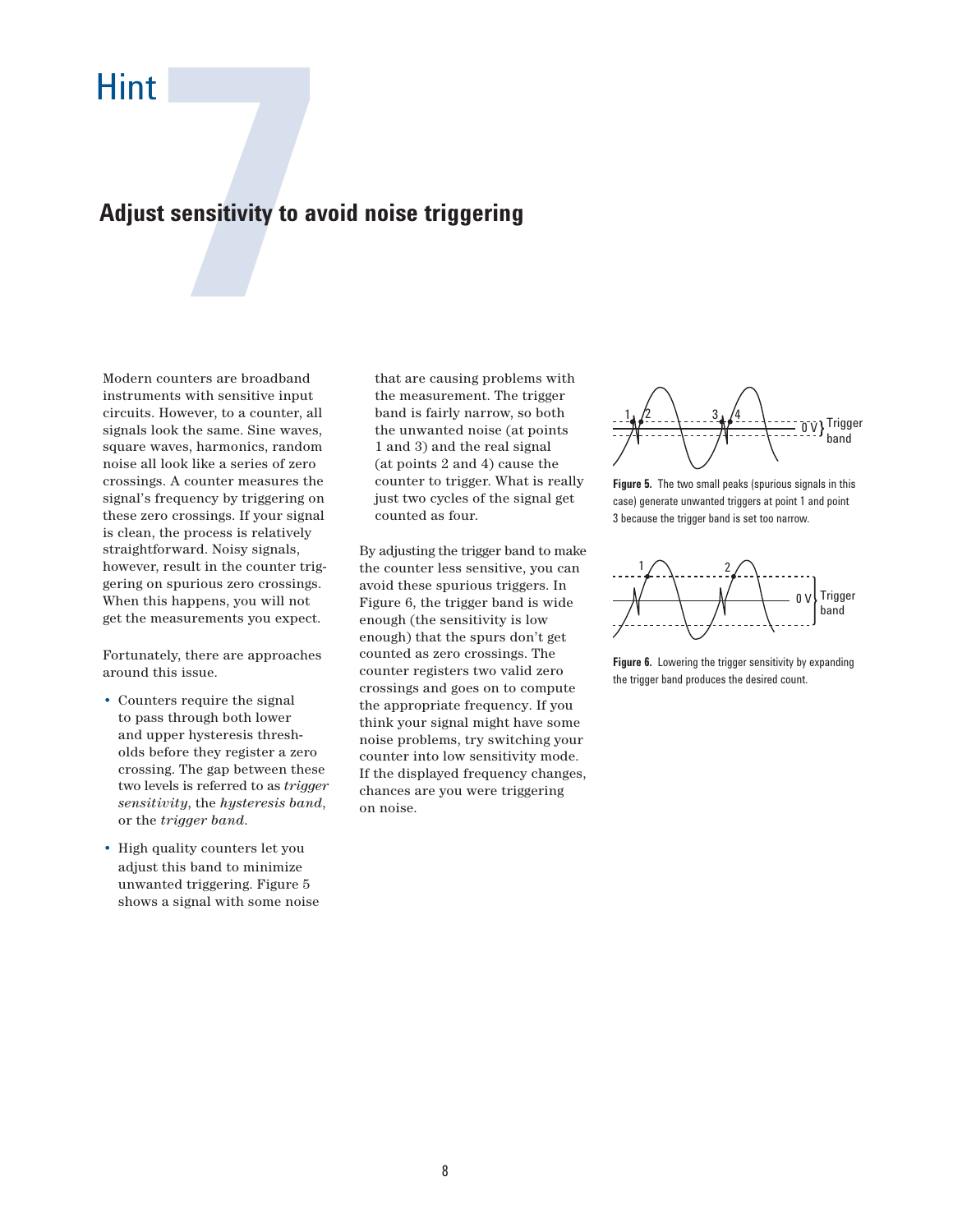# **1 sensitivity to average to the Counters are broadband Adjust sensitivity to avoid noise triggering**

Modern counters are broadband instruments with sensitive input circuits. However, to a counter, all signals look the same. Sine waves, square waves, harmonics, random noise all look like a series of zero crossings. A counter measures the signal's frequency by triggering on these zero crossings. If your signal is clean, the process is relatively straightforward. Noisy signals, however, result in the counter triggering on spurious zero crossings. When this happens, you will not get the measurements you expect.

Fortunately, there are approaches around this issue.

- Counters require the signal to pass through both lower and upper hysteresis thresh olds before they register a zero crossing. The gap between these two levels is referred to as *trigger sensitivity*, the *hysteresis band*, or the *trigger band*.
- High quality counters let you adjust this band to minimize unwanted triggering. Figure 5 shows a signal with some noise

 that are causing problems with the measurement. The trigger band is fairly narrow, so both the unwanted noise (at points 1 and 3) and the real signal (at points 2 and 4) cause the counter to trigger. What is really just two cycles of the signal get counted as four.

By adjusting the trigger band to make the counter less sensitive, you can avoid these spurious triggers. In Figure 6, the trigger band is wide enough (the sensitivity is low enough) that the spurs don't get counted as zero crossings. The counter registers two valid zero crossings and goes on to compute the appropriate frequency. If you think your signal might have some noise problems, try switching your counter into low sensitivity mode. If the displayed frequency changes, chances are you were triggering on noise.



**Figure 5.** The two small peaks (spurious signals in this case) generate unwanted triggers at point 1 and point 3 because the trigger band is set too narrow.



**Figure 6.** Lowering the trigger sensitivity by expanding the trigger band produces the desired count.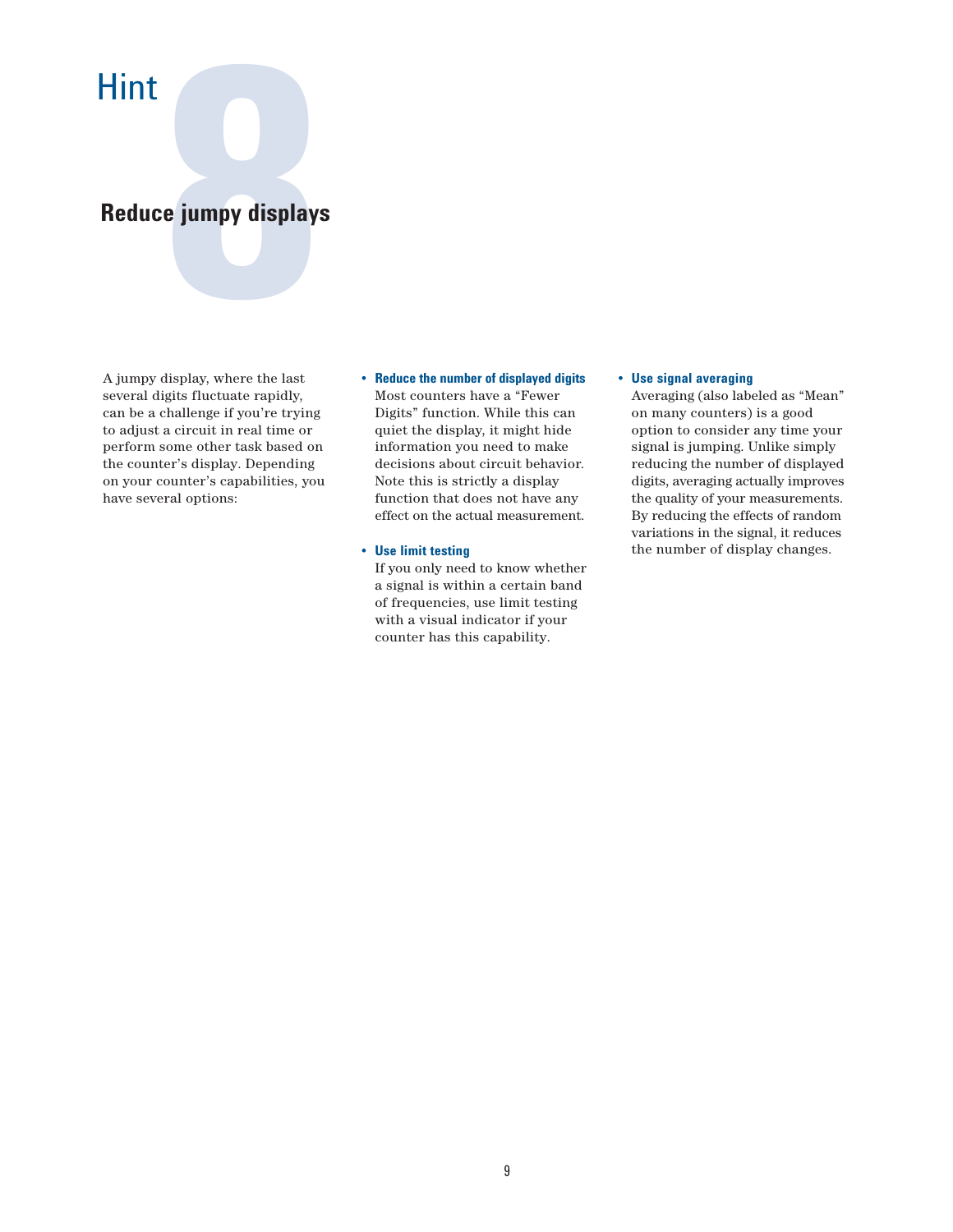# **8** jumpy displays **Reduce jumpy displays**

A jumpy display, where the last several digits fluctuate rapidly, can be a challenge if you're trying to adjust a circuit in real time or perform some other task based on the counter's display. Depending on your counter's capabilities, you have several options:

- **Reduce the number of displayed digits** Most counters have a "Fewer Digits" function. While this can quiet the display, it might hide information you need to make decisions about circuit behavior. Note this is strictly a display function that does not have any effect on the actual measurement.
- **Use limit testing**

 If you only need to know whether a signal is within a certain band of frequencies, use limit testing with a visual indicator if your counter has this capability.

### • **Use signal averaging**

 Averaging (also labeled as "Mean" on many counters) is a good option to consider any time your signal is jumping. Unlike simply reducing the number of displayed digits, averaging actually improves the quality of your measurements. By reducing the effects of random variations in the signal, it reduces the number of display changes.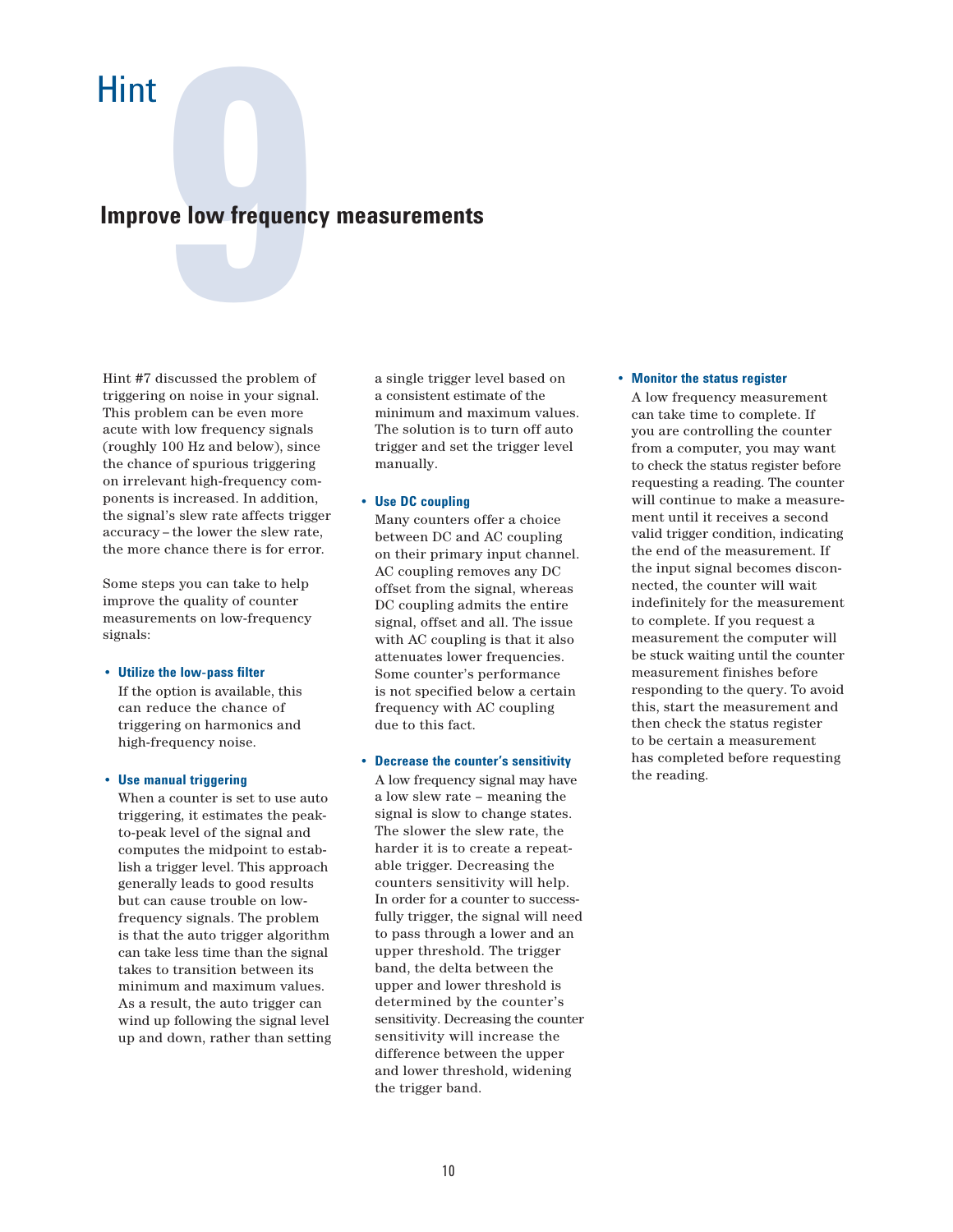# **1999 We low frequency**<br> **1999 We detect the problem of Improve low frequency measurements**

Hint #7 discussed the problem of triggering on noise in your signal. This problem can be even more acute with low frequency signals (roughly 100 Hz and below), since the chance of spurious triggering on irrelevant high-frequency components is increased. In addition, the signal's slew rate affects trigger accuracy – the lower the slew rate, the more chance there is for error.

Some steps you can take to help improve the quality of counter measurements on low-frequency signals:

## • **Utilize the low-pass filter** If the option is available, this can reduce the chance of

 triggering on harmonics and high-frequency noise.

## • **Use manual triggering**

 When a counter is set to use auto triggering, it estimates the peak to-peak level of the signal and computes the midpoint to estab lish a trigger level. This approach generally leads to good results but can cause trouble on low frequency signals. The problem is that the auto trigger algorithm can take less time than the signal takes to transition between its minimum and maximum values. As a result, the auto trigger can wind up following the signal level up and down, rather than setting  a single trigger level based on a consistent estimate of the minimum and maximum values. The solution is to turn off auto trigger and set the trigger level manually.

## • **Use DC coupling**

 Many counters offer a choice between DC and AC coupling on their primary input channel. AC coupling removes any DC offset from the signal, whereas DC coupling admits the entire signal, offset and all. The issue with AC coupling is that it also attenuates lower frequencies. Some counter's performance is not specified below a certain frequency with AC coupling due to this fact.

## • **Decrease the counter's sensitivity**

 A low frequency signal may have a low slew rate – meaning the signal is slow to change states. The slower the slew rate, the harder it is to create a repeat able trigger. Decreasing the counters sensitivity will help. In order for a counter to success fully trigger, the signal will need to pass through a lower and an upper threshold. The trigger band, the delta between the upper and lower threshold is determined by the counter's sensitivity. Decreasing the counter sensitivity will increase the difference between the upper and lower threshold, widening the trigger band.

## • **Monitor the status register**

 A low frequency measurement can take time to complete. If you are controlling the counter from a computer, you may want to check the status register before requesting a reading. The counter will continue to make a measure ment until it receives a second valid trigger condition, indicating the end of the measurement. If the input signal becomes discon nected, the counter will wait indefinitely for the measurement to complete. If you request a measurement the computer will be stuck waiting until the counter measurement finishes before responding to the query. To avoid this, start the measurement and then check the status register to be certain a measurement has completed before requesting the reading.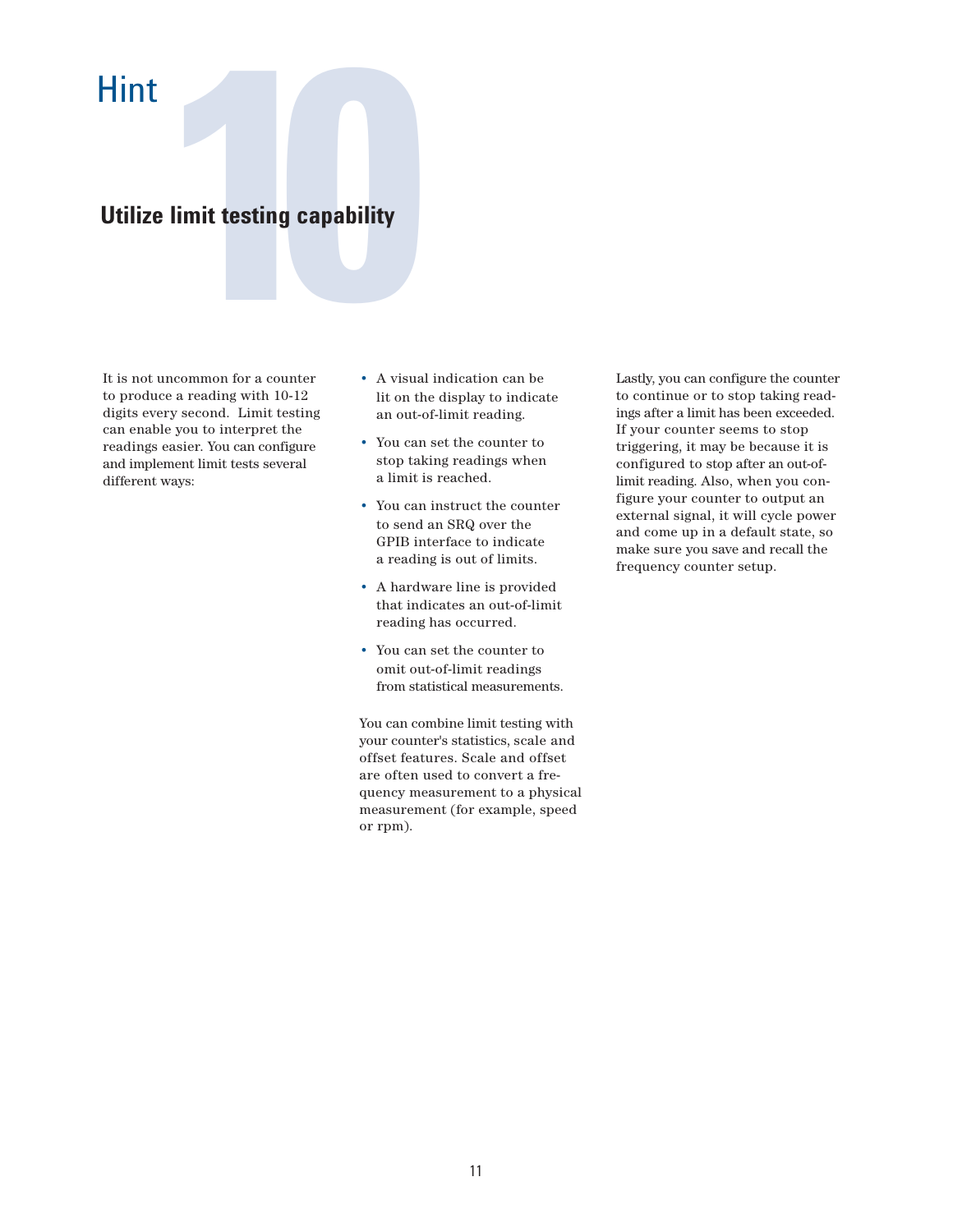# **100 Hinder Strategier Strategier Strategier Strategier Strategier Strategier Strategier Strategier Strategier Strategier Strategier Strategier Strategier Strategier Strategier Strategier Strategier Strategier Strategier S Utilize limit testing capability**

It is not uncommon for a counter to produce a reading with 10-12 digits every second. Limit testing can enable you to interpret the readings easier. You can configure and implement limit tests several different ways:

- A visual indication can be lit on the display to indicate an out-of-limit reading.
- You can set the counter to stop taking readings when a limit is reached.
- You can instruct the counter to send an SRQ over the GPIB interface to indicate a reading is out of limits.
- A hardware line is provided that indicates an out-of-limit reading has occurred.
- You can set the counter to omit out-of-limit readings from statistical measurements.

You can combine limit testing with your counter's statistics, scale and offset features. Scale and offset are often used to convert a frequency measurement to a physical measurement (for example, speed or rpm).

Lastly, you can configure the counter to continue or to stop taking readings after a limit has been exceeded. If your counter seems to stop triggering, it may be because it is configured to stop after an out-oflimit reading. Also, when you configure your counter to output an external signal, it will cycle power and come up in a default state, so make sure you save and recall the frequency counter setup.